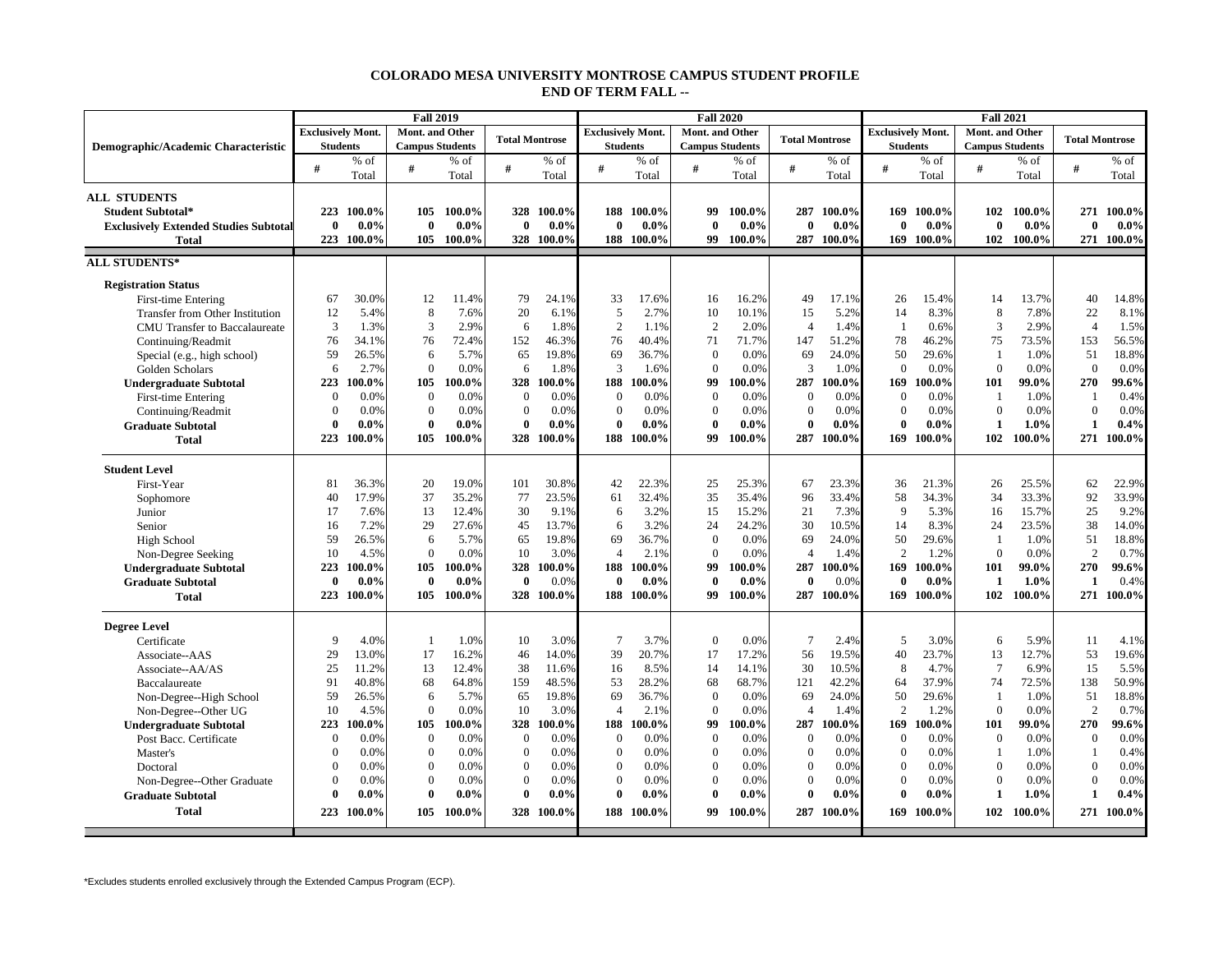## **COLORADO MESA UNIVERSITY MONTROSE CAMPUS STUDENT PROFILE END OF TERM FALL --**

|                                              | <b>Fall 2019</b>         |            |                        |         |                       |            |                          |         | <b>Fall 2020</b>       |         |                       |            | <b>Fall 2021</b>         |            |                        |            |                       |            |  |  |
|----------------------------------------------|--------------------------|------------|------------------------|---------|-----------------------|------------|--------------------------|---------|------------------------|---------|-----------------------|------------|--------------------------|------------|------------------------|------------|-----------------------|------------|--|--|
|                                              | <b>Exclusively Mont.</b> |            | Mont. and Other        |         | <b>Total Montrose</b> |            | <b>Exclusively Mont.</b> |         | Mont. and Other        |         | <b>Total Montrose</b> |            | <b>Exclusively Mont.</b> |            | Mont. and Other        |            | <b>Total Montrose</b> |            |  |  |
| Demographic/Academic Characteristic          | <b>Students</b>          |            | <b>Campus Students</b> |         |                       |            | <b>Students</b>          |         | <b>Campus Students</b> |         |                       |            | <b>Students</b>          |            | <b>Campus Students</b> |            |                       |            |  |  |
|                                              | #                        | $%$ of     | #                      | % of    | #                     | $%$ of     | #                        | $%$ of  | #                      | $%$ of  | #                     | % of       | #                        | % of       | #                      | % of       | $\#$                  | $%$ of     |  |  |
|                                              |                          | Total      |                        | Total   |                       | Total      |                          | Total   |                        | Total   |                       | Total      |                          | Total      |                        | Total      |                       | Total      |  |  |
| <b>ALL STUDENTS</b>                          |                          |            |                        |         |                       |            |                          |         |                        |         |                       |            |                          |            |                        |            |                       |            |  |  |
| <b>Student Subtotal*</b>                     | 223                      | 100.0%     | 105                    | 100.0%  | 328                   | 100.0%     | 188                      | 100.0%  | 99                     | 100.0%  | 287                   | 100.0%     | 169                      | 100.0%     | 102                    | 100.0%     | 271                   | 100.0%     |  |  |
| <b>Exclusively Extended Studies Subtotal</b> | $\mathbf{0}$             | $0.0\%$    | $\bf{0}$               | $0.0\%$ | $\bf{0}$              | $0.0\%$    | $\bf{0}$                 | $0.0\%$ | $\bf{0}$               | $0.0\%$ | $\bf{0}$              | $0.0\%$    | 0                        | $0.0\%$    | $\mathbf{0}$           | $0.0\%$    | $\bf{0}$              | $0.0\%$    |  |  |
| <b>Total</b>                                 | 223                      | 100.0%     | 105                    | 100.0%  |                       | 328 100.0% | 188                      | 100.0%  | 99                     | 100.0%  |                       | 287 100.0% |                          | 169 100.0% |                        | 102 100.0% | 271                   | 100.0%     |  |  |
| <b>ALL STUDENTS*</b>                         |                          |            |                        |         |                       |            |                          |         |                        |         |                       |            |                          |            |                        |            |                       |            |  |  |
|                                              |                          |            |                        |         |                       |            |                          |         |                        |         |                       |            |                          |            |                        |            |                       |            |  |  |
| <b>Registration Status</b>                   |                          |            |                        |         |                       |            |                          |         |                        |         |                       |            |                          |            |                        |            |                       |            |  |  |
| <b>First-time Entering</b>                   | 67                       | 30.0%      | 12                     | 11.4%   | 79                    | 24.1%      | 33                       | 17.6%   | 16                     | 16.2%   | 49                    | 17.1%      | 26                       | 15.4%      | 14                     | 13.7%      | 40                    | 14.8%      |  |  |
| Transfer from Other Institution              | 12                       | 5.4%       | 8                      | 7.6%    | 20                    | 6.1%       | 5                        | 2.7%    | 10                     | 10.1%   | 15                    | 5.2%       | 14                       | 8.3%       | 8                      | 7.8%       | 22                    | 8.1%       |  |  |
| CMU Transfer to Baccalaureate                | 3                        | 1.3%       | 3                      | 2.9%    | 6                     | 1.8%       | $\overline{2}$           | 1.1%    | 2                      | 2.0%    | $\overline{4}$        | 1.4%       | -1                       | 0.6%       | 3                      | 2.9%       | $\overline{4}$        | 1.5%       |  |  |
| Continuing/Readmit                           | 76                       | 34.1%      | 76                     | 72.4%   | 152                   | 46.3%      | 76                       | 40.4%   | 71                     | 71.7%   | 147                   | 51.2%      | 78                       | 46.2%      | 75                     | 73.5%      | 153                   | 56.5%      |  |  |
| Special (e.g., high school)                  | 59                       | 26.5%      | 6                      | 5.7%    | 65                    | 19.8%      | 69                       | 36.7%   | $\Omega$               | 0.0%    | 69                    | 24.0%      | 50                       | 29.6%      | $\overline{1}$         | 1.0%       | 51                    | 18.8%      |  |  |
| Golden Scholars                              | 6                        | 2.7%       | $\Omega$               | 0.0%    | 6                     | 1.8%       | $\overline{3}$           | 1.6%    | $\Omega$               | 0.0%    | 3                     | 1.0%       | $\Omega$                 | 0.0%       | $\Omega$               | 0.0%       | $\theta$              | 0.0%       |  |  |
| <b>Undergraduate Subtotal</b>                | 223                      | 100.0%     | 105                    | 100.0%  | 328                   | 100.0%     | 188                      | 100.0%  | 99                     | 100.0%  | 287                   | 100.0%     | 169                      | 100.0%     | 101                    | 99.0%      | 270                   | 99.6%      |  |  |
| <b>First-time Entering</b>                   | $\overline{0}$           | 0.0%       | $\mathbf{0}$           | 0.0%    | $\overline{0}$        | 0.0%       | $\overline{0}$           | 0.0%    | $\mathbf{0}$           | 0.0%    | $\overline{0}$        | 0.0%       | $\overline{0}$           | 0.0%       | $\overline{1}$         | 1.0%       | $\mathbf{1}$          | 0.4%       |  |  |
| Continuing/Readmit                           | $\Omega$                 | 0.0%       | $\boldsymbol{0}$       | 0.0%    | $\overline{0}$        | 0.0%       | $\overline{0}$           | 0.0%    | $\theta$               | 0.0%    | $\Omega$              | 0.0%       | $\theta$                 | 0.0%       | $\theta$               | 0.0%       | $\overline{0}$        | 0.0%       |  |  |
| <b>Graduate Subtotal</b>                     | $\theta$                 | $0.0\%$    | $\theta$               | $0.0\%$ | $\bf{0}$              | $0.0\%$    | $\theta$                 | $0.0\%$ | $\mathbf{0}$           | $0.0\%$ | $\bf{0}$              | $0.0\%$    | $\theta$                 | $0.0\%$    | 1                      | 1.0%       | $\mathbf{1}$          | 0.4%       |  |  |
| <b>Total</b>                                 | 223                      | 100.0%     | 105                    | 100.0%  | 328                   | 100.0%     | 188                      | 100.0%  | 99                     | 100.0%  |                       | 287 100.0% | 169                      | 100.0%     | 102                    | 100.0%     |                       | 271 100.0% |  |  |
|                                              |                          |            |                        |         |                       |            |                          |         |                        |         |                       |            |                          |            |                        |            |                       |            |  |  |
| <b>Student Level</b>                         |                          |            |                        |         |                       |            |                          |         |                        |         |                       |            |                          |            |                        |            |                       |            |  |  |
| First-Year                                   | 81                       | 36.3%      | 20                     | 19.0%   | 101                   | 30.8%      | 42                       | 22.3%   | 25                     | 25.3%   | 67                    | 23.3%      | 36                       | 21.3%      | 26                     | 25.5%      | 62                    | 22.9%      |  |  |
| Sophomore                                    | 40                       | 17.9%      | 37                     | 35.2%   | 77                    | 23.5%      | 61                       | 32.4%   | 35                     | 35.4%   | 96                    | 33.4%      | 58                       | 34.3%      | 34                     | 33.3%      | 92                    | 33.9%      |  |  |
| Junior                                       | 17                       | 7.6%       | 13                     | 12.4%   | 30                    | 9.1%       | 6                        | 3.2%    | 15                     | 15.2%   | 21                    | 7.3%       | 9                        | 5.3%       | 16                     | 15.7%      | 25                    | 9.2%       |  |  |
| Senior                                       | 16                       | 7.2%       | 29                     | 27.6%   | 45                    | 13.7%      | 6                        | 3.2%    | 24                     | 24.2%   | 30                    | 10.5%      | 14                       | 8.3%       | 24                     | 23.5%      | 38                    | 14.0%      |  |  |
| High School                                  | 59                       | 26.5%      | 6                      | 5.7%    | 65                    | 19.8%      | 69                       | 36.7%   | $\Omega$               | 0.0%    | 69                    | 24.0%      | 50                       | 29.6%      | $\overline{1}$         | 1.0%       | 51                    | 18.8%      |  |  |
| Non-Degree Seeking                           | 10                       | 4.5%       | $\Omega$               | 0.0%    | 10                    | 3.0%       | $\overline{4}$           | 2.1%    | $\Omega$               | 0.0%    | $\overline{4}$        | 1.4%       | $\overline{2}$           | 1.2%       | $\Omega$               | 0.0%       | $\overline{2}$        | 0.7%       |  |  |
| <b>Undergraduate Subtotal</b>                | 223                      | 100.0%     | 105                    | 100.0%  | 328                   | 100.0%     | 188                      | 100.0%  | 99                     | 100.0%  | 287                   | 100.0%     | 169                      | 100.0%     | 101                    | 99.0%      | 270                   | 99.6%      |  |  |
| <b>Graduate Subtotal</b>                     | $\theta$                 | $0.0\%$    | $\bf{0}$               | $0.0\%$ | $\bf{0}$              | 0.0%       | $\bf{0}$                 | $0.0\%$ | $\mathbf{0}$           | $0.0\%$ | $\bf{0}$              | 0.0%       | $\theta$                 | $0.0\%$    | 1                      | 1.0%       | $\mathbf{1}$          | 0.4%       |  |  |
| <b>Total</b>                                 | 223                      | 100.0%     | 105                    | 100.0%  |                       | 328 100.0% | 188                      | 100.0%  | 99                     | 100.0%  |                       | 287 100.0% |                          | 169 100.0% | 102                    | 100.0%     | 271                   | 100.0%     |  |  |
|                                              |                          |            |                        |         |                       |            |                          |         |                        |         |                       |            |                          |            |                        |            |                       |            |  |  |
| <b>Degree Level</b>                          |                          |            |                        |         |                       |            |                          |         |                        |         |                       |            |                          |            |                        |            |                       |            |  |  |
| Certificate                                  | 9                        | 4.0%       | $\overline{1}$         | 1.0%    | 10                    | 3.0%       | $\overline{7}$           | 3.7%    | $\theta$               | 0.0%    | $7\phantom{.0}$       | 2.4%       | 5                        | 3.0%       | 6                      | 5.9%       | 11                    | 4.1%       |  |  |
| Associate--AAS                               | 29                       | 13.0%      | 17                     | 16.2%   | 46                    | 14.0%      | 39                       | 20.7%   | 17                     | 17.2%   | 56                    | 19.5%      | 40                       | 23.7%      | 13                     | 12.7%      | 53                    | 19.6%      |  |  |
| Associate--AA/AS                             | 25                       | 11.2%      | 13                     | 12.4%   | 38                    | 11.6%      | 16                       | 8.5%    | 14                     | 14.1%   | 30                    | 10.5%      | 8                        | 4.7%       | $7\phantom{.0}$        | 6.9%       | 15                    | 5.5%       |  |  |
| Baccalaureate                                | 91                       | 40.8%      | 68                     | 64.8%   | 159                   | 48.5%      | 53                       | 28.2%   | 68                     | 68.7%   | 121                   | 42.2%      | 64                       | 37.9%      | 74                     | 72.5%      | 138                   | 50.9%      |  |  |
| Non-Degree--High School                      | 59                       | 26.5%      | 6                      | 5.7%    | 65                    | 19.8%      | 69                       | 36.7%   | $\mathbf{0}$           | 0.0%    | 69                    | 24.0%      | 50                       | 29.6%      | $\overline{1}$         | 1.0%       | 51                    | 18.8%      |  |  |
| Non-Degree--Other UG                         | 10                       | 4.5%       | $\mathbf{0}$           | 0.0%    | 10                    | 3.0%       | $\overline{4}$           | 2.1%    | $\Omega$               | 0.0%    | $\overline{4}$        | 1.4%       | $\overline{2}$           | 1.2%       | $\theta$               | 0.0%       | 2                     | 0.7%       |  |  |
| <b>Undergraduate Subtotal</b>                | 223                      | 100.0%     | 105                    | 100.0%  | 328                   | 100.0%     | 188                      | 100.0%  | 99                     | 100.0%  | 287                   | 100.0%     | 169                      | 100.0%     | 101                    | 99.0%      | 270                   | 99.6%      |  |  |
| Post Bacc. Certificate                       | $\Omega$                 | 0.0%       | $\mathbf{0}$           | 0.0%    | $\overline{0}$        | 0.0%       | $\Omega$                 | 0.0%    | $\mathbf{0}$           | 0.0%    | $\overline{0}$        | 0.0%       | $\Omega$                 | 0.0%       | $\mathbf{0}$           | 0.0%       | $\overline{0}$        | 0.0%       |  |  |
| Master's                                     | $\Omega$                 | 0.0%       | $\mathbf{0}$           | 0.0%    | $\overline{0}$        | 0.0%       | $\overline{0}$           | 0.0%    | $\mathbf{0}$           | 0.0%    | $\overline{0}$        | 0.0%       | $\overline{0}$           | 0.0%       | $\mathbf{1}$           | 1.0%       | $\mathbf{1}$          | 0.4%       |  |  |
| Doctoral                                     | $\theta$                 | 0.0%       | $\mathbf{0}$           | 0.0%    | $\overline{0}$        | 0.0%       | $\overline{0}$           | 0.0%    | $\theta$               | 0.0%    | $\mathbf{0}$          | 0.0%       | $\theta$                 | 0.0%       | $\mathbf{0}$           | 0.0%       | $\overline{0}$        | 0.0%       |  |  |
| Non-Degree--Other Graduate                   | $\theta$                 | 0.0%       | $\mathbf{0}$           | 0.0%    | $\overline{0}$        | 0.0%       | $\overline{0}$           | 0.0%    | $\boldsymbol{0}$       | 0.0%    | $\theta$              | 0.0%       | $\theta$                 | 0.0%       | $\theta$               | 0.0%       | $\overline{0}$        | 0.0%       |  |  |
| <b>Graduate Subtotal</b>                     | $\Omega$                 | $0.0\%$    | $\mathbf{0}$           | $0.0\%$ | $\bf{0}$              | $0.0\%$    | $\theta$                 | $0.0\%$ | $\bf{0}$               | $0.0\%$ | $\mathbf{0}$          | 0.0%       | $\mathbf 0$              | $0.0\%$    | 1                      | 1.0%       | $\mathbf{1}$          | 0.4%       |  |  |
| <b>Total</b>                                 |                          | 223 100.0% | 105                    | 100.0%  |                       | 328 100.0% | 188                      | 100.0%  | 99                     | 100.0%  |                       | 287 100.0% | 169                      | 100.0%     | 102                    | $100.0\%$  |                       | 271 100.0% |  |  |
|                                              |                          |            |                        |         |                       |            |                          |         |                        |         |                       |            |                          |            |                        |            |                       |            |  |  |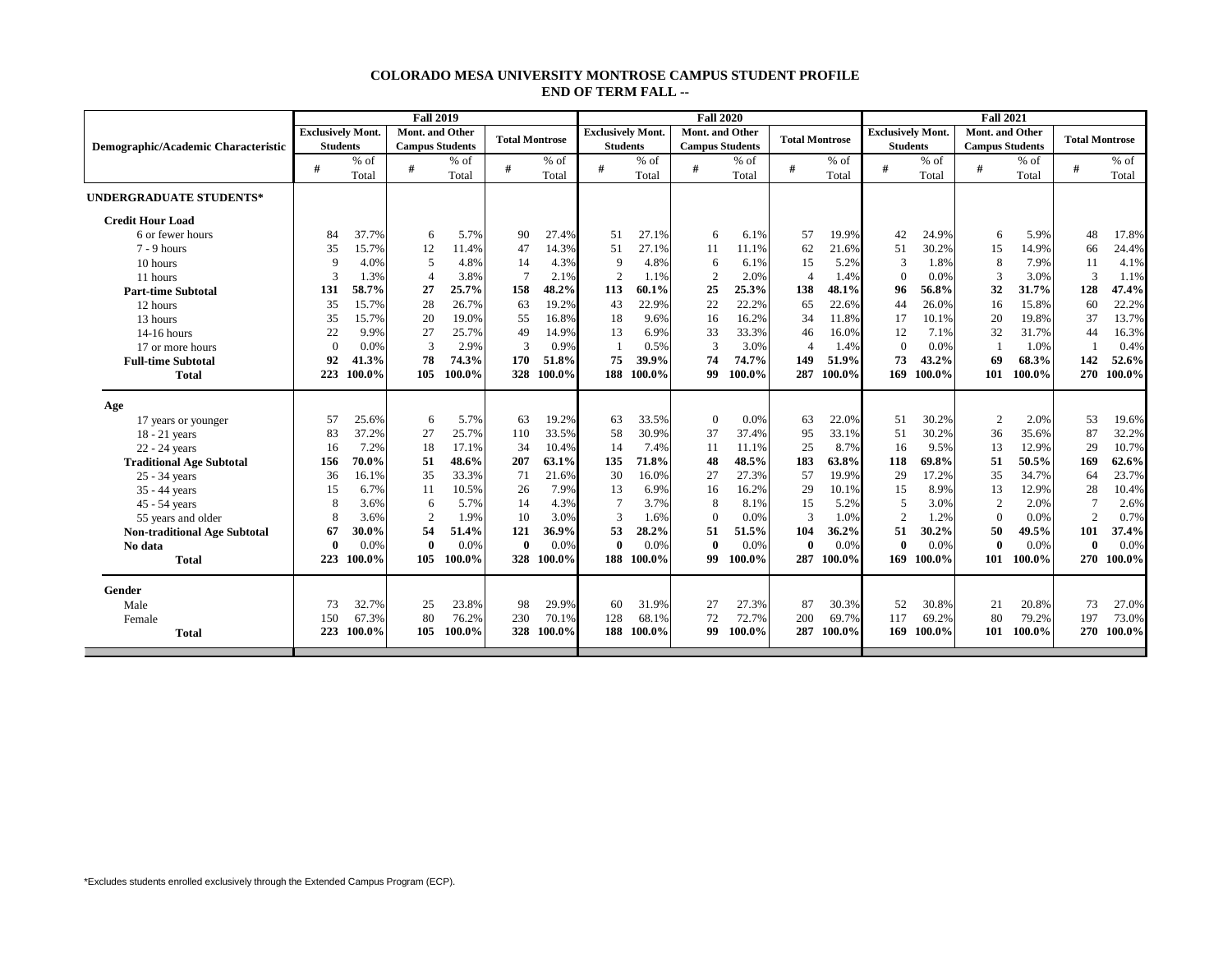## **COLORADO MESA UNIVERSITY MONTROSE CAMPUS STUDENT PROFILE END OF TERM FALL --**

|                                     |                          |        | <b>Fall 2019</b>       |        |                       |            |                          |        | <b>Fall 2020</b>       |        |                       |        | <b>Fall 2021</b>         |        |                        |        |                       |            |  |
|-------------------------------------|--------------------------|--------|------------------------|--------|-----------------------|------------|--------------------------|--------|------------------------|--------|-----------------------|--------|--------------------------|--------|------------------------|--------|-----------------------|------------|--|
|                                     | <b>Exclusively Mont.</b> |        | <b>Mont.</b> and Other |        | <b>Total Montrose</b> |            | <b>Exclusively Mont.</b> |        | Mont. and Other        |        | <b>Total Montrose</b> |        | <b>Exclusively Mont.</b> |        | Mont. and Other        |        | <b>Total Montrose</b> |            |  |
| Demographic/Academic Characteristic | <b>Students</b>          |        | <b>Campus Students</b> |        |                       |            | <b>Students</b>          |        | <b>Campus Students</b> |        |                       |        | <b>Students</b>          |        | <b>Campus Students</b> |        |                       |            |  |
|                                     | #                        | $%$ of | #                      | $%$ of | #                     | $%$ of     | #                        | $%$ of | #                      | $%$ of | #                     | $%$ of | #                        | $%$ of | #                      | $%$ of | #                     | $%$ of     |  |
|                                     |                          | Total  |                        | Total  |                       | Total      |                          | Total  |                        | Total  |                       | Total  |                          | Total  |                        | Total  |                       | Total      |  |
| <b>UNDERGRADUATE STUDENTS*</b>      |                          |        |                        |        |                       |            |                          |        |                        |        |                       |        |                          |        |                        |        |                       |            |  |
| <b>Credit Hour Load</b>             |                          |        |                        |        |                       |            |                          |        |                        |        |                       |        |                          |        |                        |        |                       |            |  |
| 6 or fewer hours                    | 84                       | 37.7%  | 6                      | 5.7%   | 90                    | 27.4%      | 51                       | 27.1%  | 6                      | 6.1%   | 57                    | 19.9%  | 42                       | 24.9%  | 6                      | 5.9%   | 48                    | 17.8%      |  |
| $7 - 9$ hours                       | 35                       | 15.7%  | 12                     | 11.4%  | 47                    | 14.3%      | 51                       | 27.1%  | 11                     | 11.1%  | 62                    | 21.6%  | 51                       | 30.2%  | 15                     | 14.9%  | 66                    | 24.4%      |  |
| 10 hours                            | 9                        | 4.0%   | 5                      | 4.8%   | 14                    | 4.3%       | 9                        | 4.8%   | 6                      | 6.1%   | 15                    | 5.2%   | 3                        | 1.8%   | 8                      | 7.9%   | 11                    | 4.1%       |  |
| 11 hours                            | 3                        | 1.3%   | $\overline{4}$         | 3.8%   | $7\phantom{.0}$       | 2.1%       | $\overline{c}$           | 1.1%   | $\overline{2}$         | 2.0%   | $\overline{4}$        | 1.4%   | $\theta$                 | 0.0%   | 3                      | 3.0%   | 3                     | 1.1%       |  |
| <b>Part-time Subtotal</b>           | 131                      | 58.7%  | 27                     | 25.7%  | 158                   | 48.2%      | 113                      | 60.1%  | 25                     | 25.3%  | 138                   | 48.1%  | 96                       | 56.8%  | 32                     | 31.7%  | 128                   | 47.4%      |  |
| 12 hours                            | 35                       | 15.7%  | 28                     | 26.7%  | 63                    | 19.2%      | 43                       | 22.9%  | 22                     | 22.2%  | 65                    | 22.6%  | 44                       | 26.0%  | 16                     | 15.8%  | 60                    | 22.2%      |  |
| 13 hours                            | 35                       | 15.7%  | 20                     | 19.0%  | 55                    | 16.8%      | 18                       | 9.6%   | 16                     | 16.2%  | 34                    | 11.8%  | 17                       | 10.1%  | 20                     | 19.8%  | 37                    | 13.7%      |  |
| 14-16 hours                         | 22                       | 9.9%   | 27                     | 25.7%  | 49                    | 14.9%      | 13                       | 6.9%   | 33                     | 33.3%  | 46                    | 16.0%  | 12                       | 7.1%   | 32                     | 31.7%  | 44                    | 16.3%      |  |
| 17 or more hours                    | $\Omega$                 | 0.0%   | 3                      | 2.9%   | 3                     | 0.9%       |                          | 0.5%   | 3                      | 3.0%   | 4                     | 1.4%   | $\theta$                 | 0.0%   |                        | 1.0%   |                       | 0.4%       |  |
| <b>Full-time Subtotal</b>           | 92                       | 41.3%  | 78                     | 74.3%  | 170                   | 51.8%      | 75                       | 39.9%  | 74                     | 74.7%  | 149                   | 51.9%  | 73                       | 43.2%  | 69                     | 68.3%  | 142                   | 52.6%      |  |
| <b>Total</b>                        | 223                      | 100.0% | 105                    | 100.0% | 328                   | 100.0%     | 188                      | 100.0% | 99                     | 100.0% | 287                   | 100.0% | 169                      | 100.0% | 101                    | 100.0% | 270                   | 100.0%     |  |
|                                     |                          |        |                        |        |                       |            |                          |        |                        |        |                       |        |                          |        |                        |        |                       |            |  |
| Age                                 |                          |        |                        |        |                       |            |                          |        |                        |        |                       |        |                          |        |                        |        |                       |            |  |
| 17 years or younger                 | 57                       | 25.6%  | 6                      | 5.7%   | 63                    | 19.2%      | 63                       | 33.5%  | $\Omega$               | 0.0%   | 63                    | 22.0%  | 51                       | 30.2%  | 2                      | 2.0%   | 53                    | 19.6%      |  |
| $18 - 21$ years                     | 83                       | 37.2%  | 27                     | 25.7%  | 110                   | 33.5%      | 58                       | 30.9%  | 37                     | 37.4%  | 95                    | 33.1%  | 51                       | 30.2%  | 36                     | 35.6%  | 87                    | 32.2%      |  |
| 22 - 24 years                       | 16                       | 7.2%   | 18                     | 17.1%  | 34                    | 10.4%      | 14                       | 7.4%   | 11                     | 11.1%  | 25                    | 8.7%   | 16                       | 9.5%   | 13                     | 12.9%  | 29                    | 10.7%      |  |
| <b>Traditional Age Subtotal</b>     | 156                      | 70.0%  | 51                     | 48.6%  | 207                   | 63.1%      | 135                      | 71.8%  | 48                     | 48.5%  | 183                   | 63.8%  | 118                      | 69.8%  | 51                     | 50.5%  | 169                   | 62.6%      |  |
| 25 - 34 years                       | 36                       | 16.1%  | 35                     | 33.3%  | 71                    | 21.6%      | 30                       | 16.0%  | 27                     | 27.3%  | 57                    | 19.9%  | 29                       | 17.2%  | 35                     | 34.7%  | 64                    | 23.7%      |  |
| 35 - 44 years                       | 15                       | 6.7%   | 11                     | 10.5%  | 26                    | 7.9%       | 13                       | 6.9%   | 16                     | 16.2%  | 29                    | 10.1%  | 15                       | 8.9%   | 13                     | 12.9%  | 28                    | 10.4%      |  |
| 45 - 54 years                       | 8                        | 3.6%   | 6                      | 5.7%   | 14                    | 4.3%       | $\tau$                   | 3.7%   | 8                      | 8.1%   | 15                    | 5.2%   | 5                        | 3.0%   | $\overline{c}$         | 2.0%   | $\tau$                | 2.6%       |  |
| 55 years and older                  | 8                        | 3.6%   | $\overline{2}$         | 1.9%   | 10                    | 3.0%       | 3                        | 1.6%   | $\theta$               | 0.0%   | 3                     | 1.0%   | $\overline{2}$           | 1.2%   | $\theta$               | 0.0%   | $\overline{c}$        | 0.7%       |  |
| <b>Non-traditional Age Subtotal</b> | 67                       | 30.0%  | 54                     | 51.4%  | 121                   | 36.9%      | 53                       | 28.2%  | 51                     | 51.5%  | 104                   | 36.2%  | 51                       | 30.2%  | 50                     | 49.5%  | <b>101</b>            | 37.4%      |  |
| No data                             | $\Omega$                 | 0.0%   | $\mathbf{0}$           | 0.0%   | $\mathbf{0}$          | 0.0%       | $\Omega$                 | 0.0%   | $\theta$               | 0.0%   | $\bf{0}$              | 0.0%   | $\theta$                 | 0.0%   | 0                      | 0.0%   | $\bf{0}$              | 0.0%       |  |
| <b>Total</b>                        | 223                      | 100.0% | 105                    | 100.0% | 328                   | 100.0%     | 188                      | 100.0% | 99                     | 100.0% | 287                   | 100.0% | 169                      | 100.0% | 101                    | 100.0% | 270                   | 100.0%     |  |
| Gender                              |                          |        |                        |        |                       |            |                          |        |                        |        |                       |        |                          |        |                        |        |                       |            |  |
| Male                                | 73                       | 32.7%  | 25                     | 23.8%  | 98                    | 29.9%      | 60                       | 31.9%  | 27                     | 27.3%  | 87                    | 30.3%  | 52                       | 30.8%  | 21                     | 20.8%  | 73                    | 27.0%      |  |
|                                     | 150                      | 67.3%  | 80                     | 76.2%  | 230                   | 70.1%      | 128                      | 68.1%  | 72                     | 72.7%  | 200                   | 69.7%  | 117                      | 69.2%  | 80                     | 79.2%  | 197                   | 73.0%      |  |
| Female                              | 223                      | 100.0% | 105                    | 100.0% |                       | 328 100.0% | 188                      | 100.0% | 99                     | 100.0% | 287                   | 100.0% | 169                      | 100.0% | 101                    | 100.0% |                       | 270 100.0% |  |
| <b>Total</b>                        |                          |        |                        |        |                       |            |                          |        |                        |        |                       |        |                          |        |                        |        |                       |            |  |
|                                     |                          |        |                        |        |                       |            |                          |        |                        |        |                       |        |                          |        |                        |        |                       |            |  |